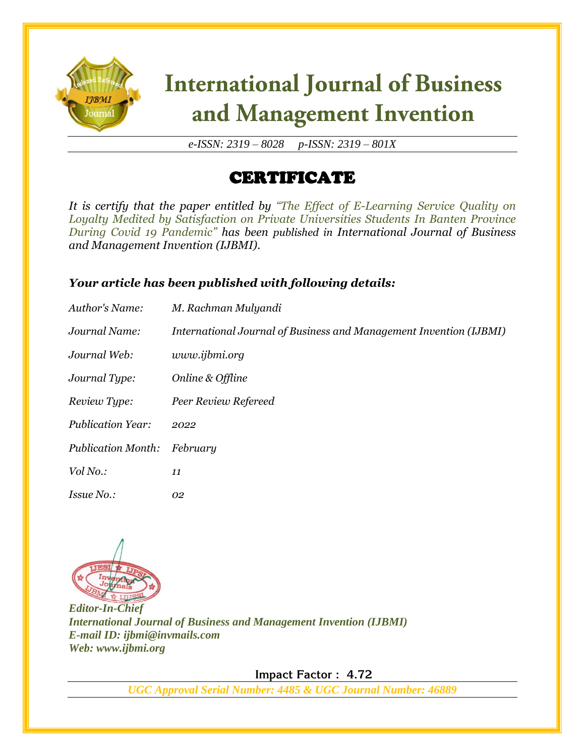

# **International Journal of Business** and Management Invention

*e-ISSN: 2319 – 8028 p-ISSN: 2319 – 801X*

## CERTIFICATE

*It is certify that the paper entitled by "The Effect of E-Learning Service Quality on Loyalty Medited by Satisfaction on Private Universities Students In Banten Province During Covid 19 Pandemic" has been published in International Journal of Business and Management Invention (IJBMI).*

### *Your article has been published with following details:*

| Author's Name:            | M. Rachman Mulyandi                                                |
|---------------------------|--------------------------------------------------------------------|
| Journal Name:             | International Journal of Business and Management Invention (IJBMI) |
| Journal Web:              | www.ijbmi.org                                                      |
| Journal Type:             | Online & Offline                                                   |
| Review Type:              | Peer Review Refereed                                               |
| <b>Publication Year:</b>  | 2022                                                               |
| <b>Publication Month:</b> | February                                                           |
| Vol No.:                  | 11                                                                 |
| <i>Issue No.:</i>         | 02                                                                 |



*Editor-In-Chief International Journal of Business and Management Invention (IJBMI) E-mail ID: ijbmi@invmails.com Web: www.ijbmi.org*

 **Impact Factor : 4.72** 

*UGC Approval Serial Number: 4485 & UGC Journal Number: 46889*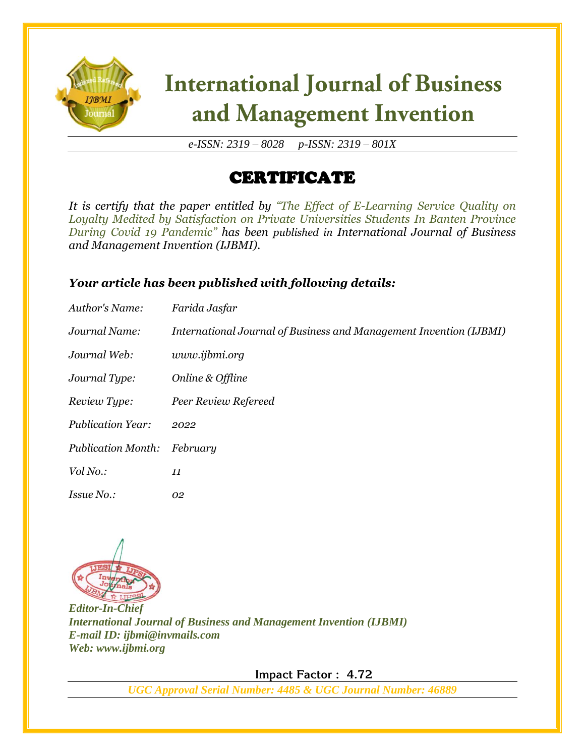

# **International Journal of Business** and Management Invention

*e-ISSN: 2319 – 8028 p-ISSN: 2319 – 801X*

## CERTIFICATE

*It is certify that the paper entitled by "The Effect of E-Learning Service Quality on Loyalty Medited by Satisfaction on Private Universities Students In Banten Province During Covid 19 Pandemic" has been published in International Journal of Business and Management Invention (IJBMI).*

### *Your article has been published with following details:*

| Author's Name:            | Farida Jasfar                                                      |
|---------------------------|--------------------------------------------------------------------|
| Journal Name:             | International Journal of Business and Management Invention (IJBMI) |
| Journal Web:              | www.ijbmi.org                                                      |
| Journal Type:             | Online & Offline                                                   |
| Review Type:              | Peer Review Refereed                                               |
| <b>Publication Year:</b>  | 2022                                                               |
| <b>Publication Month:</b> | February                                                           |
| Vol No.:                  | 11                                                                 |
| <i>Issue No.:</i>         | 02                                                                 |



*Editor-In-Chief International Journal of Business and Management Invention (IJBMI) E-mail ID: ijbmi@invmails.com Web: www.ijbmi.org*

 **Impact Factor : 4.72** 

*UGC Approval Serial Number: 4485 & UGC Journal Number: 46889*